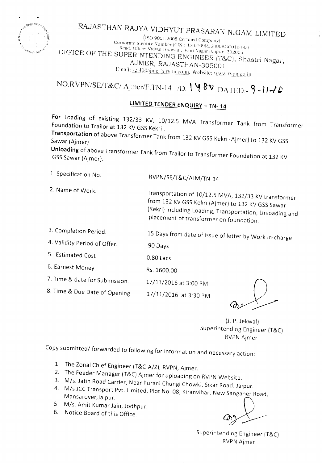

# RAJASTHAN RAJYA VIDHYUT PRASARAN NIGAM LIMITED

 $\left($ ISO 9001:2008 Certified Company) Corporate Identity Number (CIN): U40109RJ2000SGC016483) Regd. Office: Vidyut Bhawan, Jyoti Nagar Jaipur 302005 OFFICE OF THE SUPERINTENDING ENGINEER (T&C), Shastri Nagar, AJMER, RAJASTHAN-305001 Email: se.400ajmer@rvpn.co.in. Website: www.rypn.co.in

## NO.RVPN/SE/T&C/Ajmer/F.TN-14 /D.  $\sqrt{8v}$  DATED:-9-11-16

#### LIMITED TENDER ENQUIRY - TN-14

For Loading of existing 132/33 KV, 10/12.5 MVA Transformer Tank from Transformer Foundation to Trailor at 132 KV GSS Kekri.

Transportation of above Transformer Tank from 132 KV GSS Kekri (Ajmer) to 132 KV GSS Sawar (Ajmer)

Unloading of above Transformer Tank from Trailor to Transformer Foundation at 132 KV GSS Sawar (Ajmer).

1. Specification No.

2. Name of Work.

RVPN/SE/T&C/AJM/TN-14

Transportation of 10/12.5 MVA, 132/33 KV transformer

Rs. 1600.00

from 132 KV GSS Kekri (Ajmer) to 132 KV GSS Sawar (Kekri) including Loading, Transportation, Unloading and placement of transformer on foundation.

| 3. Completion Period.        | 15 Days from date of issue of letter by Work In-charge |
|------------------------------|--------------------------------------------------------|
| 4. Validity Period of Offer. | 90 Days                                                |

17/11/2016 at 3:30 PM

5. Estimated Cost 0.80 Lacs

6. Earnest Money

7. Time & date for Submission. 17/11/2016 at 3:00 PM

8. Time & Due Date of Opening

(J. P. Jekwal) Superintending Engineer (T&C) **RVPN Ajmer** 

Copy submitted/ forwarded to following for information and necessary action:

- 1. The Zonal Chief Engineer (T&C-A/Z), RVPN, Ajmer.
- 2. The Feeder Manager (T&C) Ajmer for uploading on RVPN Website.
- 3. M/s. Jatin Road Carrier, Near Purani Chungi Chowki, Sikar Road, Jaipur.
- 4. M/s JCC Transport Pvt. Limited, Plot No. 08, Kiranvihar, New Sanganer Road, Mansarover, Jaipur.
- 5. M/s. Amit Kumar Jain, Jodhpur.
- 6. Notice Board of this Office.

Superintending Engineer (T&C) **RVPN Ajmer**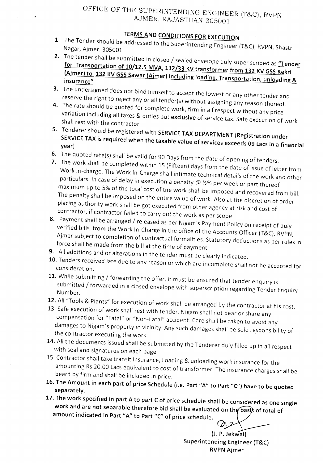### TERMS AND CONDITIONS FOR EXECUTION

- 1. The Tender should be addressed to the Superintending Engineer (T&C), RVPN, Shastri Nagar, Ajmer. 305001.
- 2. The tender shall be submitted in closed / sealed envelope duly super scribed as "Tender for Transportation of 10/12.5 MVA, 132/33 KV transformer from 132 KV GSS Kekri  $\frac{1}{2}$   $\frac{1}{2}$   $\frac{1}{2}$  KV GSS Sawar (Ajmer) including loading, Transportation, unloading 8 insurance
- 3. The undersigned does not bind himself to accept the lowest or any other tender and reserve the right to reject any or all tender(s) without assigning any reason thereof.
- 4. The rate should be quoted for complete work, firm in all respect without any price variation including all taxes & duties but exclusive of service tax. Safe execution of work shall rest with the contractor.
- 5. Tenderer should be registered with SERVICE TAX DEPARTMENT (Registration under SERVICE TAX is required when the taxable value of services exceeds 09 Lacs in a financia<br>year)
- 6. The quoted rate(s) shall be valid for 90 Days from the date of opening of tenders.
- 7. The work shall be completed within 15 (Fifteen) days from the date of issue of letter from Work In-charge. The Work In-Charge shall intimate technical details of the work and other particulars. In case of delay in execution a penalty  $@$  %% per week or part thereof maximum up to 5% of the total cost of the work shall be imposed and recovered from bill. The penalty shall be imposed on the entire value of work. Also at the discretion of order placing authority work shall be got executed from other agency at risk and cost of contractor, if contractor failed to carry out the work' as per scope.
- 8. Payment shall be arranged / released as per Nigam's Payment Policy on receipt of duly verified bills, from the Work In-Charge in the office of the Accounts Officer (T&C), RVPN, Ajmer subject to completion of contractual formalities. Statutory deductions as per rules in force shall be made from the bill at the time of payment.
- 9. All additions and or alterations in the tender must be clearly indicated.
- 10. Tenders received late due to any reason or which are incomplete shall not be accepted for consideration.
- 11. While submitting / forwarding the offer, it must be ensured that tender enquiry is submitted / forwarded in a closed envelope with superscription regarding Tender Enquiry Number.
- 12. All "Tools & Plants" for execution of work shall be arranged by the contractor at his cost.
- 13. Safe execution of work shall rest with tender. Nigam shall not bear or share any compensation for "Fatal" or "Non-Fatal" accident. Care shall be taken to avoid any damages to Nigam's property in vicinitv. Any such damages shall be sole responsibility of the contractor executing the work.
- 14. All the documents issued shall be submitted by the Tenderer duly filled up in all respect with seal and signatures on each page.
- 15. Contractor shall take transit insurance, Loading & unloading work insurance for the amounting Rs 20.00 Lacs equivalent to cost of transformer. The insurance charges shall be beard by firm and shall be included in price.
- 16. The Amount in each part of price Schedule (i.e. Part "A" to Part "C") have to be quoted separately.
- 17. The work specified in part A to part C of price schedule shall be considered as one single work and are not separable therefore bid shall be evaluated on the basis of total of amount indicated in Part "A" to Part "C" of price schedule. o.

(J. P. Jekwal) Superintending Engineer (T&C) RVPN Ajmer